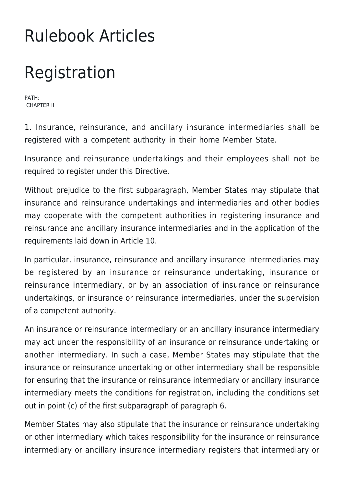## Rulebook Articles

## Registration

PATH: CHAPTER II

1. Insurance, reinsurance, and ancillary insurance intermediaries shall be registered with a competent authority in their home Member State.

Insurance and reinsurance undertakings and their employees shall not be required to register under this Directive.

Without prejudice to the first subparagraph, Member States may stipulate that insurance and reinsurance undertakings and intermediaries and other bodies may cooperate with the competent authorities in registering insurance and reinsurance and ancillary insurance intermediaries and in the application of the requirements laid down in Article 10.

In particular, insurance, reinsurance and ancillary insurance intermediaries may be registered by an insurance or reinsurance undertaking, insurance or reinsurance intermediary, or by an association of insurance or reinsurance undertakings, or insurance or reinsurance intermediaries, under the supervision of a competent authority.

An insurance or reinsurance intermediary or an ancillary insurance intermediary may act under the responsibility of an insurance or reinsurance undertaking or another intermediary. In such a case, Member States may stipulate that the insurance or reinsurance undertaking or other intermediary shall be responsible for ensuring that the insurance or reinsurance intermediary or ancillary insurance intermediary meets the conditions for registration, including the conditions set out in point (c) of the first subparagraph of paragraph 6.

Member States may also stipulate that the insurance or reinsurance undertaking or other intermediary which takes responsibility for the insurance or reinsurance intermediary or ancillary insurance intermediary registers that intermediary or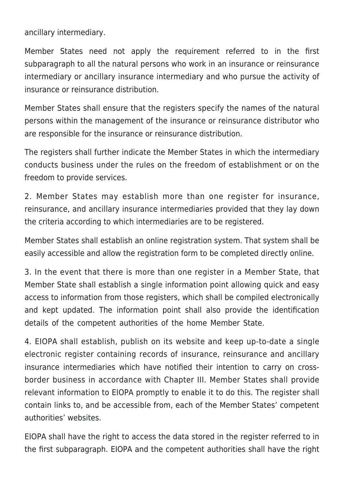ancillary intermediary.

Member States need not apply the requirement referred to in the first subparagraph to all the natural persons who work in an insurance or reinsurance intermediary or ancillary insurance intermediary and who pursue the activity of insurance or reinsurance distribution.

Member States shall ensure that the registers specify the names of the natural persons within the management of the insurance or reinsurance distributor who are responsible for the insurance or reinsurance distribution.

The registers shall further indicate the Member States in which the intermediary conducts business under the rules on the freedom of establishment or on the freedom to provide services.

2. Member States may establish more than one register for insurance, reinsurance, and ancillary insurance intermediaries provided that they lay down the criteria according to which intermediaries are to be registered.

Member States shall establish an online registration system. That system shall be easily accessible and allow the registration form to be completed directly online.

3. In the event that there is more than one register in a Member State, that Member State shall establish a single information point allowing quick and easy access to information from those registers, which shall be compiled electronically and kept updated. The information point shall also provide the identification details of the competent authorities of the home Member State.

4. EIOPA shall establish, publish on its website and keep up-to-date a single electronic register containing records of insurance, reinsurance and ancillary insurance intermediaries which have notified their intention to carry on crossborder business in accordance with Chapter III. Member States shall provide relevant information to EIOPA promptly to enable it to do this. The register shall contain links to, and be accessible from, each of the Member States' competent authorities' websites.

EIOPA shall have the right to access the data stored in the register referred to in the first subparagraph. EIOPA and the competent authorities shall have the right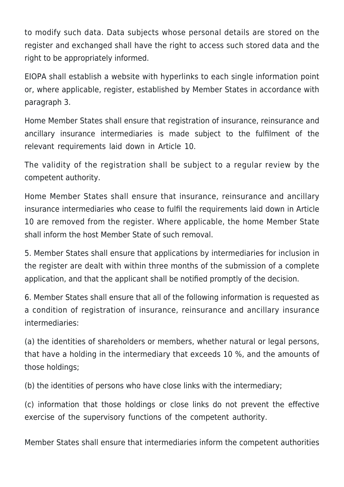to modify such data. Data subjects whose personal details are stored on the register and exchanged shall have the right to access such stored data and the right to be appropriately informed.

EIOPA shall establish a website with hyperlinks to each single information point or, where applicable, register, established by Member States in accordance with paragraph 3.

Home Member States shall ensure that registration of insurance, reinsurance and ancillary insurance intermediaries is made subject to the fulfilment of the relevant requirements laid down in Article 10.

The validity of the registration shall be subject to a regular review by the competent authority.

Home Member States shall ensure that insurance, reinsurance and ancillary insurance intermediaries who cease to fulfil the requirements laid down in Article 10 are removed from the register. Where applicable, the home Member State shall inform the host Member State of such removal.

5. Member States shall ensure that applications by intermediaries for inclusion in the register are dealt with within three months of the submission of a complete application, and that the applicant shall be notified promptly of the decision.

6. Member States shall ensure that all of the following information is requested as a condition of registration of insurance, reinsurance and ancillary insurance intermediaries:

(a) the identities of shareholders or members, whether natural or legal persons, that have a holding in the intermediary that exceeds 10 %, and the amounts of those holdings;

(b) the identities of persons who have close links with the intermediary;

(c) information that those holdings or close links do not prevent the effective exercise of the supervisory functions of the competent authority.

Member States shall ensure that intermediaries inform the competent authorities